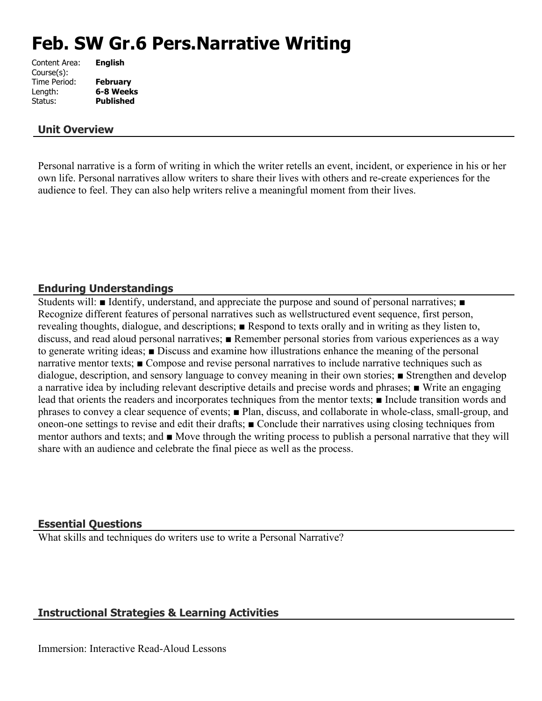# **Feb. SW Gr.6 Pers.Narrative Writing**

| Content Area: | <b>English</b>   |
|---------------|------------------|
| Course(s):    |                  |
| Time Period:  | <b>February</b>  |
| Length:       | 6-8 Weeks        |
| Status:       | <b>Published</b> |
|               |                  |

#### **Unit Overview**

Personal narrative is a form of writing in which the writer retells an event, incident, or experience in his or her own life. Personal narratives allow writers to share their lives with others and re-create experiences for the audience to feel. They can also help writers relive a meaningful moment from their lives.

#### **Enduring Understandings**

Students will: ■ Identify, understand, and appreciate the purpose and sound of personal narratives; ■ Recognize different features of personal narratives such as wellstructured event sequence, first person, revealing thoughts, dialogue, and descriptions; ■ Respond to texts orally and in writing as they listen to, discuss, and read aloud personal narratives; ■ Remember personal stories from various experiences as a way to generate writing ideas; ■ Discuss and examine how illustrations enhance the meaning of the personal narrative mentor texts; ■ Compose and revise personal narratives to include narrative techniques such as dialogue, description, and sensory language to convey meaning in their own stories; ■ Strengthen and develop a narrative idea by including relevant descriptive details and precise words and phrases; ■ Write an engaging lead that orients the readers and incorporates techniques from the mentor texts; ■ Include transition words and phrases to convey a clear sequence of events; ■ Plan, discuss, and collaborate in whole-class, small-group, and oneon-one settings to revise and edit their drafts; ■ Conclude their narratives using closing techniques from mentor authors and texts; and ■ Move through the writing process to publish a personal narrative that they will share with an audience and celebrate the final piece as well as the process.

#### **Essential Questions**

What skills and techniques do writers use to write a Personal Narrative?

# **Instructional Strategies & Learning Activities**

Immersion: Interactive Read-Aloud Lessons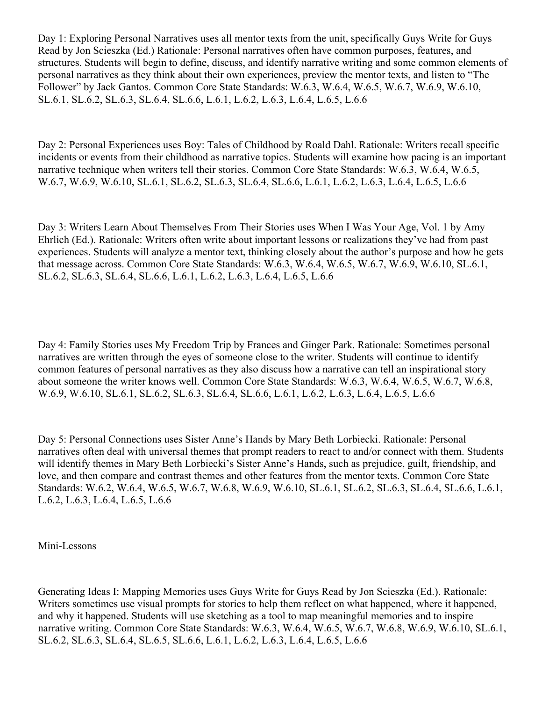Day 1: Exploring Personal Narratives uses all mentor texts from the unit, specifically Guys Write for Guys Read by Jon Scieszka (Ed.) Rationale: Personal narratives often have common purposes, features, and structures. Students will begin to define, discuss, and identify narrative writing and some common elements of personal narratives as they think about their own experiences, preview the mentor texts, and listen to "The Follower" by Jack Gantos. Common Core State Standards: W.6.3, W.6.4, W.6.5, W.6.7, W.6.9, W.6.10, SL.6.1, SL.6.2, SL.6.3, SL.6.4, SL.6.6, L.6.1, L.6.2, L.6.3, L.6.4, L.6.5, L.6.6

Day 2: Personal Experiences uses Boy: Tales of Childhood by Roald Dahl. Rationale: Writers recall specific incidents or events from their childhood as narrative topics. Students will examine how pacing is an important narrative technique when writers tell their stories. Common Core State Standards: W.6.3, W.6.4, W.6.5, W.6.7, W.6.9, W.6.10, SL.6.1, SL.6.2, SL.6.3, SL.6.4, SL.6.6, L.6.1, L.6.2, L.6.3, L.6.4, L.6.5, L.6.6

Day 3: Writers Learn About Themselves From Their Stories uses When I Was Your Age, Vol. 1 by Amy Ehrlich (Ed.). Rationale: Writers often write about important lessons or realizations they've had from past experiences. Students will analyze a mentor text, thinking closely about the author's purpose and how he gets that message across. Common Core State Standards: W.6.3, W.6.4, W.6.5, W.6.7, W.6.9, W.6.10, SL.6.1, SL.6.2, SL.6.3, SL.6.4, SL.6.6, L.6.1, L.6.2, L.6.3, L.6.4, L.6.5, L.6.6

Day 4: Family Stories uses My Freedom Trip by Frances and Ginger Park. Rationale: Sometimes personal narratives are written through the eyes of someone close to the writer. Students will continue to identify common features of personal narratives as they also discuss how a narrative can tell an inspirational story about someone the writer knows well. Common Core State Standards: W.6.3, W.6.4, W.6.5, W.6.7, W.6.8, W.6.9, W.6.10, SL.6.1, SL.6.2, SL.6.3, SL.6.4, SL.6.6, L.6.1, L.6.2, L.6.3, L.6.4, L.6.5, L.6.6

Day 5: Personal Connections uses Sister Anne's Hands by Mary Beth Lorbiecki. Rationale: Personal narratives often deal with universal themes that prompt readers to react to and/or connect with them. Students will identify themes in Mary Beth Lorbiecki's Sister Anne's Hands, such as prejudice, guilt, friendship, and love, and then compare and contrast themes and other features from the mentor texts. Common Core State Standards: W.6.2, W.6.4, W.6.5, W.6.7, W.6.8, W.6.9, W.6.10, SL.6.1, SL.6.2, SL.6.3, SL.6.4, SL.6.6, L.6.1, L.6.2, L.6.3, L.6.4, L.6.5, L.6.6

Mini-Lessons

Generating Ideas I: Mapping Memories uses Guys Write for Guys Read by Jon Scieszka (Ed.). Rationale: Writers sometimes use visual prompts for stories to help them reflect on what happened, where it happened, and why it happened. Students will use sketching as a tool to map meaningful memories and to inspire narrative writing. Common Core State Standards: W.6.3, W.6.4, W.6.5, W.6.7, W.6.8, W.6.9, W.6.10, SL.6.1, SL.6.2, SL.6.3, SL.6.4, SL.6.5, SL.6.6, L.6.1, L.6.2, L.6.3, L.6.4, L.6.5, L.6.6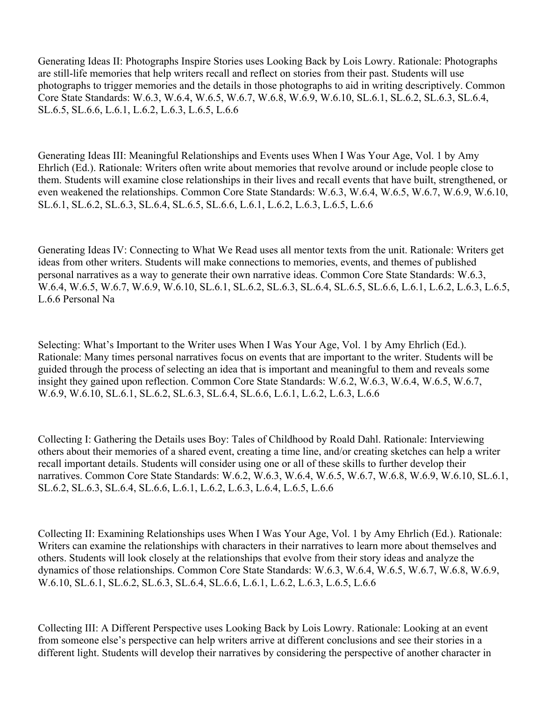Generating Ideas II: Photographs Inspire Stories uses Looking Back by Lois Lowry. Rationale: Photographs are still-life memories that help writers recall and reflect on stories from their past. Students will use photographs to trigger memories and the details in those photographs to aid in writing descriptively. Common Core State Standards: W.6.3, W.6.4, W.6.5, W.6.7, W.6.8, W.6.9, W.6.10, SL.6.1, SL.6.2, SL.6.3, SL.6.4, SL.6.5, SL.6.6, L.6.1, L.6.2, L.6.3, L.6.5, L.6.6

Generating Ideas III: Meaningful Relationships and Events uses When I Was Your Age, Vol. 1 by Amy Ehrlich (Ed.). Rationale: Writers often write about memories that revolve around or include people close to them. Students will examine close relationships in their lives and recall events that have built, strengthened, or even weakened the relationships. Common Core State Standards: W.6.3, W.6.4, W.6.5, W.6.7, W.6.9, W.6.10, SL.6.1, SL.6.2, SL.6.3, SL.6.4, SL.6.5, SL.6.6, L.6.1, L.6.2, L.6.3, L.6.5, L.6.6

Generating Ideas IV: Connecting to What We Read uses all mentor texts from the unit. Rationale: Writers get ideas from other writers. Students will make connections to memories, events, and themes of published personal narratives as a way to generate their own narrative ideas. Common Core State Standards: W.6.3, W.6.4, W.6.5, W.6.7, W.6.9, W.6.10, SL.6.1, SL.6.2, SL.6.3, SL.6.4, SL.6.5, SL.6.6, L.6.1, L.6.2, L.6.3, L.6.5, L.6.6 Personal Na

Selecting: What's Important to the Writer uses When I Was Your Age, Vol. 1 by Amy Ehrlich (Ed.). Rationale: Many times personal narratives focus on events that are important to the writer. Students will be guided through the process of selecting an idea that is important and meaningful to them and reveals some insight they gained upon reflection. Common Core State Standards: W.6.2, W.6.3, W.6.4, W.6.5, W.6.7, W.6.9, W.6.10, SL.6.1, SL.6.2, SL.6.3, SL.6.4, SL.6.6, L.6.1, L.6.2, L.6.3, L.6.6

Collecting I: Gathering the Details uses Boy: Tales of Childhood by Roald Dahl. Rationale: Interviewing others about their memories of a shared event, creating a time line, and/or creating sketches can help a writer recall important details. Students will consider using one or all of these skills to further develop their narratives. Common Core State Standards: W.6.2, W.6.3, W.6.4, W.6.5, W.6.7, W.6.8, W.6.9, W.6.10, SL.6.1, SL.6.2, SL.6.3, SL.6.4, SL.6.6, L.6.1, L.6.2, L.6.3, L.6.4, L.6.5, L.6.6

Collecting II: Examining Relationships uses When I Was Your Age, Vol. 1 by Amy Ehrlich (Ed.). Rationale: Writers can examine the relationships with characters in their narratives to learn more about themselves and others. Students will look closely at the relationships that evolve from their story ideas and analyze the dynamics of those relationships. Common Core State Standards: W.6.3, W.6.4, W.6.5, W.6.7, W.6.8, W.6.9, W.6.10, SL.6.1, SL.6.2, SL.6.3, SL.6.4, SL.6.6, L.6.1, L.6.2, L.6.3, L.6.5, L.6.6

Collecting III: A Different Perspective uses Looking Back by Lois Lowry. Rationale: Looking at an event from someone else's perspective can help writers arrive at different conclusions and see their stories in a different light. Students will develop their narratives by considering the perspective of another character in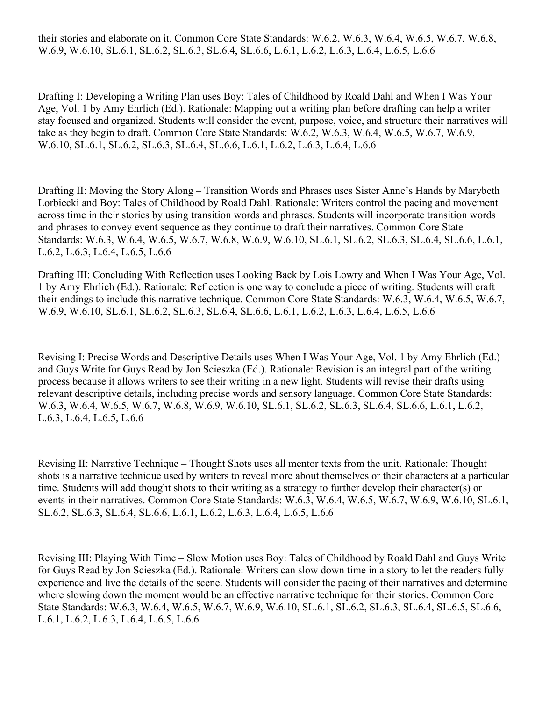Drafting I: Developing a Writing Plan uses Boy: Tales of Childhood by Roald Dahl and When I Was Your Age, Vol. 1 by Amy Ehrlich (Ed.). Rationale: Mapping out a writing plan before drafting can help a writer stay focused and organized. Students will consider the event, purpose, voice, and structure their narratives will take as they begin to draft. Common Core State Standards: W.6.2, W.6.3, W.6.4, W.6.5, W.6.7, W.6.9, W.6.10, SL.6.1, SL.6.2, SL.6.3, SL.6.4, SL.6.6, L.6.1, L.6.2, L.6.3, L.6.4, L.6.6

Drafting II: Moving the Story Along – Transition Words and Phrases uses Sister Anne's Hands by Marybeth Lorbiecki and Boy: Tales of Childhood by Roald Dahl. Rationale: Writers control the pacing and movement across time in their stories by using transition words and phrases. Students will incorporate transition words and phrases to convey event sequence as they continue to draft their narratives. Common Core State Standards: W.6.3, W.6.4, W.6.5, W.6.7, W.6.8, W.6.9, W.6.10, SL.6.1, SL.6.2, SL.6.3, SL.6.4, SL.6.6, L.6.1, L.6.2, L.6.3, L.6.4, L.6.5, L.6.6

Drafting III: Concluding With Reflection uses Looking Back by Lois Lowry and When I Was Your Age, Vol. 1 by Amy Ehrlich (Ed.). Rationale: Reflection is one way to conclude a piece of writing. Students will craft their endings to include this narrative technique. Common Core State Standards: W.6.3, W.6.4, W.6.5, W.6.7, W.6.9, W.6.10, SL.6.1, SL.6.2, SL.6.3, SL.6.4, SL.6.6, L.6.1, L.6.2, L.6.3, L.6.4, L.6.5, L.6.6

Revising I: Precise Words and Descriptive Details uses When I Was Your Age, Vol. 1 by Amy Ehrlich (Ed.) and Guys Write for Guys Read by Jon Scieszka (Ed.). Rationale: Revision is an integral part of the writing process because it allows writers to see their writing in a new light. Students will revise their drafts using relevant descriptive details, including precise words and sensory language. Common Core State Standards: W.6.3, W.6.4, W.6.5, W.6.7, W.6.8, W.6.9, W.6.10, SL.6.1, SL.6.2, SL.6.3, SL.6.4, SL.6.6, L.6.1, L.6.2, L.6.3, L.6.4, L.6.5, L.6.6

Revising II: Narrative Technique – Thought Shots uses all mentor texts from the unit. Rationale: Thought shots is a narrative technique used by writers to reveal more about themselves or their characters at a particular time. Students will add thought shots to their writing as a strategy to further develop their character(s) or events in their narratives. Common Core State Standards: W.6.3, W.6.4, W.6.5, W.6.7, W.6.9, W.6.10, SL.6.1, SL.6.2, SL.6.3, SL.6.4, SL.6.6, L.6.1, L.6.2, L.6.3, L.6.4, L.6.5, L.6.6

Revising III: Playing With Time – Slow Motion uses Boy: Tales of Childhood by Roald Dahl and Guys Write for Guys Read by Jon Scieszka (Ed.). Rationale: Writers can slow down time in a story to let the readers fully experience and live the details of the scene. Students will consider the pacing of their narratives and determine where slowing down the moment would be an effective narrative technique for their stories. Common Core State Standards: W.6.3, W.6.4, W.6.5, W.6.7, W.6.9, W.6.10, SL.6.1, SL.6.2, SL.6.3, SL.6.4, SL.6.5, SL.6.6, L.6.1, L.6.2, L.6.3, L.6.4, L.6.5, L.6.6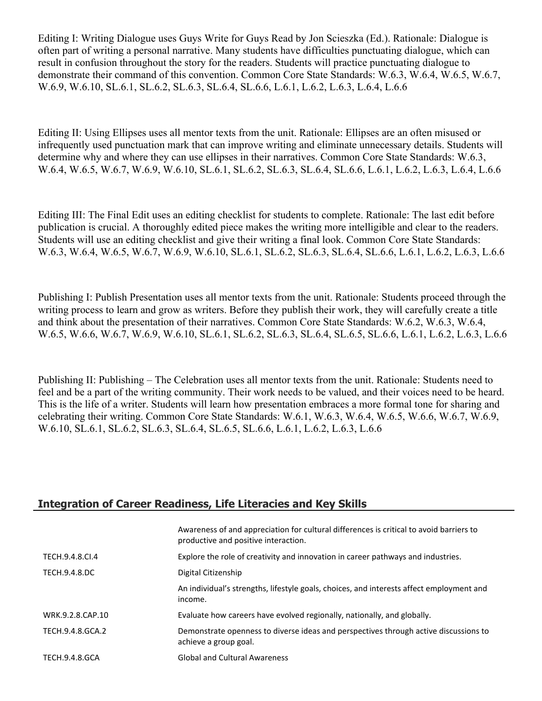Editing I: Writing Dialogue uses Guys Write for Guys Read by Jon Scieszka (Ed.). Rationale: Dialogue is often part of writing a personal narrative. Many students have difficulties punctuating dialogue, which can result in confusion throughout the story for the readers. Students will practice punctuating dialogue to demonstrate their command of this convention. Common Core State Standards: W.6.3, W.6.4, W.6.5, W.6.7, W.6.9, W.6.10, SL.6.1, SL.6.2, SL.6.3, SL.6.4, SL.6.6, L.6.1, L.6.2, L.6.3, L.6.4, L.6.6

Editing II: Using Ellipses uses all mentor texts from the unit. Rationale: Ellipses are an often misused or infrequently used punctuation mark that can improve writing and eliminate unnecessary details. Students will determine why and where they can use ellipses in their narratives. Common Core State Standards: W.6.3, W.6.4, W.6.5, W.6.7, W.6.9, W.6.10, SL.6.1, SL.6.2, SL.6.3, SL.6.4, SL.6.6, L.6.1, L.6.2, L.6.3, L.6.4, L.6.6

Editing III: The Final Edit uses an editing checklist for students to complete. Rationale: The last edit before publication is crucial. A thoroughly edited piece makes the writing more intelligible and clear to the readers. Students will use an editing checklist and give their writing a final look. Common Core State Standards: W.6.3, W.6.4, W.6.5, W.6.7, W.6.9, W.6.10, SL.6.1, SL.6.2, SL.6.3, SL.6.4, SL.6.6, L.6.1, L.6.2, L.6.3, L.6.6

Publishing I: Publish Presentation uses all mentor texts from the unit. Rationale: Students proceed through the writing process to learn and grow as writers. Before they publish their work, they will carefully create a title and think about the presentation of their narratives. Common Core State Standards: W.6.2, W.6.3, W.6.4, W.6.5, W.6.6, W.6.7, W.6.9, W.6.10, SL.6.1, SL.6.2, SL.6.3, SL.6.4, SL.6.5, SL.6.6, L.6.1, L.6.2, L.6.3, L.6.6

Publishing II: Publishing – The Celebration uses all mentor texts from the unit. Rationale: Students need to feel and be a part of the writing community. Their work needs to be valued, and their voices need to be heard. This is the life of a writer. Students will learn how presentation embraces a more formal tone for sharing and celebrating their writing. Common Core State Standards: W.6.1, W.6.3, W.6.4, W.6.5, W.6.6, W.6.7, W.6.9, W.6.10, SL.6.1, SL.6.2, SL.6.3, SL.6.4, SL.6.5, SL.6.6, L.6.1, L.6.2, L.6.3, L.6.6

#### **Integration of Career Readiness, Life Literacies and Key Skills**

|                      | Awareness of and appreciation for cultural differences is critical to avoid barriers to<br>productive and positive interaction. |
|----------------------|---------------------------------------------------------------------------------------------------------------------------------|
| TECH.9.4.8.CL4       | Explore the role of creativity and innovation in career pathways and industries.                                                |
| <b>TECH.9.4.8.DC</b> | Digital Citizenship                                                                                                             |
|                      | An individual's strengths, lifestyle goals, choices, and interests affect employment and<br>income.                             |
| WRK.9.2.8.CAP.10     | Evaluate how careers have evolved regionally, nationally, and globally.                                                         |
| TECH.9.4.8.GCA.2     | Demonstrate openness to diverse ideas and perspectives through active discussions to<br>achieve a group goal.                   |
| TECH.9.4.8.GCA       | <b>Global and Cultural Awareness</b>                                                                                            |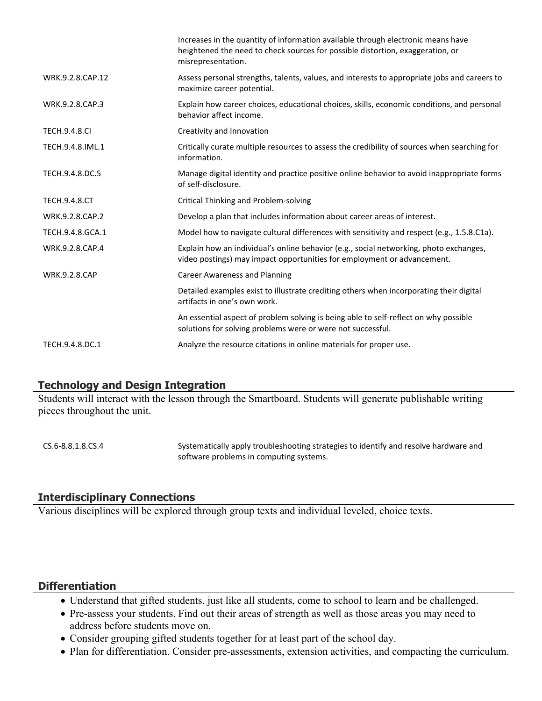|                      | Increases in the quantity of information available through electronic means have<br>heightened the need to check sources for possible distortion, exaggeration, or<br>misrepresentation. |
|----------------------|------------------------------------------------------------------------------------------------------------------------------------------------------------------------------------------|
| WRK.9.2.8.CAP.12     | Assess personal strengths, talents, values, and interests to appropriate jobs and careers to<br>maximize career potential.                                                               |
| WRK.9.2.8.CAP.3      | Explain how career choices, educational choices, skills, economic conditions, and personal<br>behavior affect income.                                                                    |
| <b>TECH.9.4.8.CI</b> | Creativity and Innovation                                                                                                                                                                |
| TECH.9.4.8.IML.1     | Critically curate multiple resources to assess the credibility of sources when searching for<br>information.                                                                             |
| TECH.9.4.8.DC.5      | Manage digital identity and practice positive online behavior to avoid inappropriate forms<br>of self-disclosure.                                                                        |
| <b>TECH.9.4.8.CT</b> | Critical Thinking and Problem-solving                                                                                                                                                    |
| WRK.9.2.8.CAP.2      | Develop a plan that includes information about career areas of interest.                                                                                                                 |
| TECH.9.4.8.GCA.1     | Model how to navigate cultural differences with sensitivity and respect (e.g., 1.5.8.C1a).                                                                                               |
| WRK.9.2.8.CAP.4      | Explain how an individual's online behavior (e.g., social networking, photo exchanges,<br>video postings) may impact opportunities for employment or advancement.                        |
| <b>WRK.9.2.8.CAP</b> | <b>Career Awareness and Planning</b>                                                                                                                                                     |
|                      | Detailed examples exist to illustrate crediting others when incorporating their digital<br>artifacts in one's own work.                                                                  |
|                      | An essential aspect of problem solving is being able to self-reflect on why possible<br>solutions for solving problems were or were not successful.                                      |
| TECH.9.4.8.DC.1      | Analyze the resource citations in online materials for proper use.                                                                                                                       |
|                      |                                                                                                                                                                                          |

#### **Technology and Design Integration**

Students will interact with the lesson through the Smartboard. Students will generate publishable writing pieces throughout the unit.

CS.6-8.8.1.8.CS.4 Systematically apply troubleshooting strategies to identify and resolve hardware and software problems in computing systems.

# **Interdisciplinary Connections**

Various disciplines will be explored through group texts and individual leveled, choice texts.

# **Differentiation**

- Understand that gifted students, just like all students, come to school to learn and be challenged.
- Pre-assess your students. Find out their areas of strength as well as those areas you may need to address before students move on.
- Consider grouping gifted students together for at least part of the school day.
- Plan for differentiation. Consider pre-assessments, extension activities, and compacting the curriculum.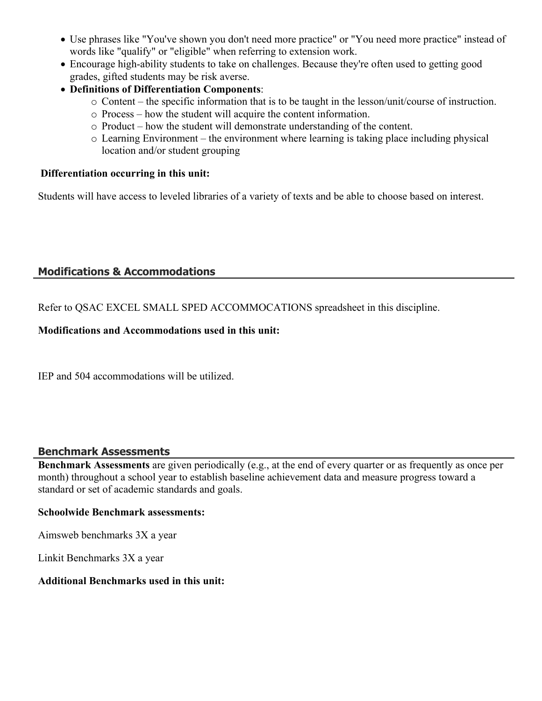- Use phrases like "You've shown you don't need more practice" or "You need more practice" instead of words like "qualify" or "eligible" when referring to extension work.
- Encourage high-ability students to take on challenges. Because they're often used to getting good grades, gifted students may be risk averse.
- **Definitions of Differentiation Components**:
	- o Content the specific information that is to be taught in the lesson/unit/course of instruction.
	- o Process how the student will acquire the content information.
	- o Product how the student will demonstrate understanding of the content.
	- o Learning Environment the environment where learning is taking place including physical location and/or student grouping

#### **Differentiation occurring in this unit:**

Students will have access to leveled libraries of a variety of texts and be able to choose based on interest.

# **Modifications & Accommodations**

Refer to QSAC EXCEL SMALL SPED ACCOMMOCATIONS spreadsheet in this discipline.

#### **Modifications and Accommodations used in this unit:**

IEP and 504 accommodations will be utilized.

#### **Benchmark Assessments**

**Benchmark Assessments** are given periodically (e.g., at the end of every quarter or as frequently as once per month) throughout a school year to establish baseline achievement data and measure progress toward a standard or set of academic standards and goals.

#### **Schoolwide Benchmark assessments:**

Aimsweb benchmarks 3X a year

Linkit Benchmarks 3X a year

#### **Additional Benchmarks used in this unit:**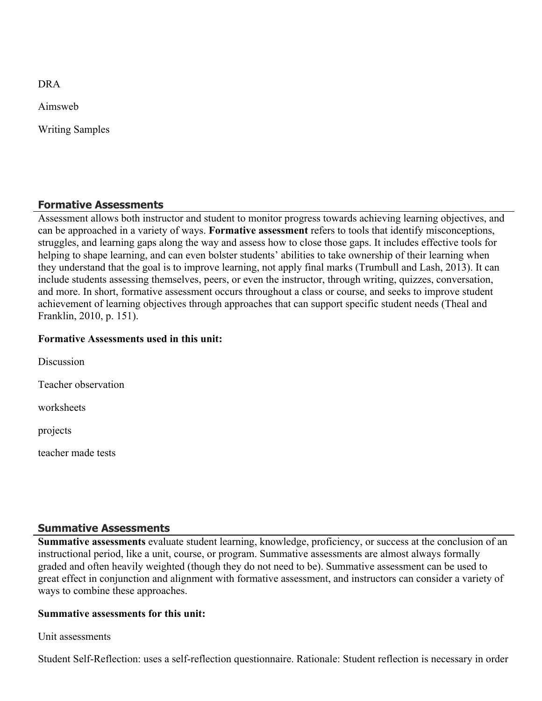DRA

Aimsweb

Writing Samples

#### **Formative Assessments**

Assessment allows both instructor and student to monitor progress towards achieving learning objectives, and can be approached in a variety of ways. **Formative assessment** refers to tools that identify misconceptions, struggles, and learning gaps along the way and assess how to close those gaps. It includes effective tools for helping to shape learning, and can even bolster students' abilities to take ownership of their learning when they understand that the goal is to improve learning, not apply final marks (Trumbull and Lash, 2013). It can include students assessing themselves, peers, or even the instructor, through writing, quizzes, conversation, and more. In short, formative assessment occurs throughout a class or course, and seeks to improve student achievement of learning objectives through approaches that can support specific student needs (Theal and Franklin, 2010, p. 151).

#### **Formative Assessments used in this unit:**

Discussion Teacher observation worksheets projects

teacher made tests

#### **Summative Assessments**

**Summative assessments** evaluate student learning, knowledge, proficiency, or success at the conclusion of an instructional period, like a unit, course, or program. Summative assessments are almost always formally graded and often heavily weighted (though they do not need to be). Summative assessment can be used to great effect in conjunction and alignment with formative assessment, and instructors can consider a variety of ways to combine these approaches.

#### **Summative assessments for this unit:**

Unit assessments

Student Self-Reflection: uses a self-reflection questionnaire. Rationale: Student reflection is necessary in order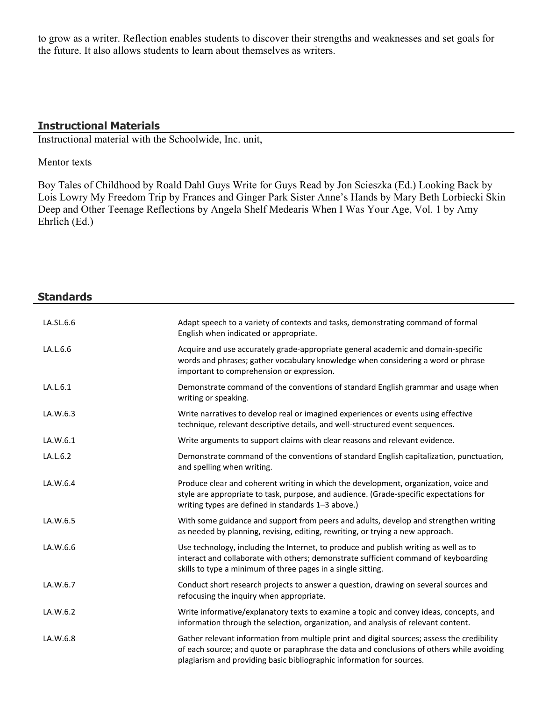to grow as a writer. Reflection enables students to discover their strengths and weaknesses and set goals for the future. It also allows students to learn about themselves as writers.

### **Instructional Materials**

Instructional material with the Schoolwide, Inc. unit,

#### Mentor texts

Boy Tales of Childhood by Roald Dahl Guys Write for Guys Read by Jon Scieszka (Ed.) Looking Back by Lois Lowry My Freedom Trip by Frances and Ginger Park Sister Anne's Hands by Mary Beth Lorbiecki Skin Deep and Other Teenage Reflections by Angela Shelf Medearis When I Was Your Age, Vol. 1 by Amy Ehrlich (Ed.)

| <b>Standards</b> |                                                                                                                                                                                                                                                                   |
|------------------|-------------------------------------------------------------------------------------------------------------------------------------------------------------------------------------------------------------------------------------------------------------------|
| LA.SL.6.6        | Adapt speech to a variety of contexts and tasks, demonstrating command of formal<br>English when indicated or appropriate.                                                                                                                                        |
| LA.L.6.6         | Acquire and use accurately grade-appropriate general academic and domain-specific<br>words and phrases; gather vocabulary knowledge when considering a word or phrase<br>important to comprehension or expression.                                                |
| LA.L.6.1         | Demonstrate command of the conventions of standard English grammar and usage when<br>writing or speaking.                                                                                                                                                         |
| LA.W.6.3         | Write narratives to develop real or imagined experiences or events using effective<br>technique, relevant descriptive details, and well-structured event sequences.                                                                                               |
| LA.W.6.1         | Write arguments to support claims with clear reasons and relevant evidence.                                                                                                                                                                                       |
| LA.L.6.2         | Demonstrate command of the conventions of standard English capitalization, punctuation,<br>and spelling when writing.                                                                                                                                             |
| LA.W.6.4         | Produce clear and coherent writing in which the development, organization, voice and<br>style are appropriate to task, purpose, and audience. (Grade-specific expectations for<br>writing types are defined in standards 1-3 above.)                              |
| LA.W.6.5         | With some guidance and support from peers and adults, develop and strengthen writing<br>as needed by planning, revising, editing, rewriting, or trying a new approach.                                                                                            |
| LA.W.6.6         | Use technology, including the Internet, to produce and publish writing as well as to<br>interact and collaborate with others; demonstrate sufficient command of keyboarding<br>skills to type a minimum of three pages in a single sitting.                       |
| LA.W.6.7         | Conduct short research projects to answer a question, drawing on several sources and<br>refocusing the inquiry when appropriate.                                                                                                                                  |
| LA.W.6.2         | Write informative/explanatory texts to examine a topic and convey ideas, concepts, and<br>information through the selection, organization, and analysis of relevant content.                                                                                      |
| LA.W.6.8         | Gather relevant information from multiple print and digital sources; assess the credibility<br>of each source; and quote or paraphrase the data and conclusions of others while avoiding<br>plagiarism and providing basic bibliographic information for sources. |